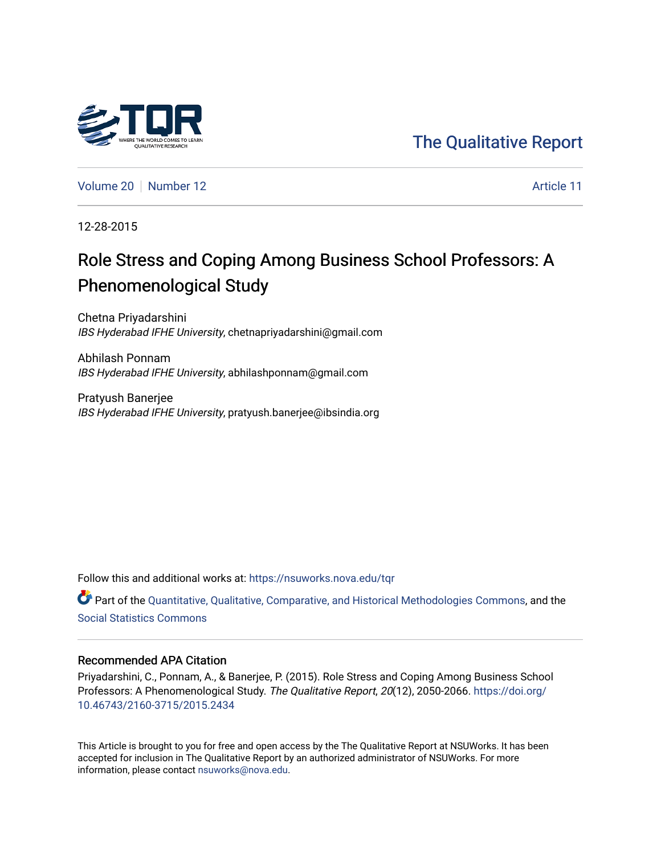# [The Qualitative Report](https://nsuworks.nova.edu/tqr)

[Volume 20](https://nsuworks.nova.edu/tqr/vol20) [Number 12](https://nsuworks.nova.edu/tqr/vol20/iss12) Article 11

12-28-2015

# Role Stress and Coping Among Business School Professors: A Phenomenological Study

Chetna Priyadarshini IBS Hyderabad IFHE University, chetnapriyadarshini@gmail.com

Abhilash Ponnam IBS Hyderabad IFHE University, abhilashponnam@gmail.com

Pratyush Banerjee IBS Hyderabad IFHE University, pratyush.banerjee@ibsindia.org

Follow this and additional works at: [https://nsuworks.nova.edu/tqr](https://nsuworks.nova.edu/tqr?utm_source=nsuworks.nova.edu%2Ftqr%2Fvol20%2Fiss12%2F11&utm_medium=PDF&utm_campaign=PDFCoverPages) 

Part of the [Quantitative, Qualitative, Comparative, and Historical Methodologies Commons,](http://network.bepress.com/hgg/discipline/423?utm_source=nsuworks.nova.edu%2Ftqr%2Fvol20%2Fiss12%2F11&utm_medium=PDF&utm_campaign=PDFCoverPages) and the [Social Statistics Commons](http://network.bepress.com/hgg/discipline/1275?utm_source=nsuworks.nova.edu%2Ftqr%2Fvol20%2Fiss12%2F11&utm_medium=PDF&utm_campaign=PDFCoverPages) 

## Recommended APA Citation

Priyadarshini, C., Ponnam, A., & Banerjee, P. (2015). Role Stress and Coping Among Business School Professors: A Phenomenological Study. The Qualitative Report, 20(12), 2050-2066. [https://doi.org/](https://doi.org/10.46743/2160-3715/2015.2434) [10.46743/2160-3715/2015.2434](https://doi.org/10.46743/2160-3715/2015.2434)

This Article is brought to you for free and open access by the The Qualitative Report at NSUWorks. It has been accepted for inclusion in The Qualitative Report by an authorized administrator of NSUWorks. For more information, please contact [nsuworks@nova.edu.](mailto:nsuworks@nova.edu)

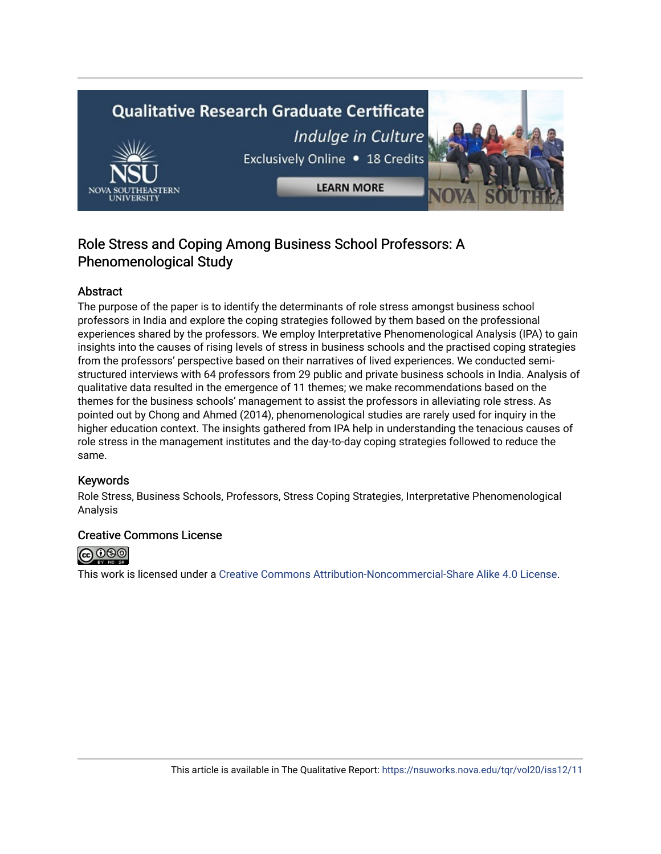# **Qualitative Research Graduate Certificate** Indulge in Culture Exclusively Online . 18 Credits **LEARN MORE**

# Role Stress and Coping Among Business School Professors: A Phenomenological Study

# Abstract

The purpose of the paper is to identify the determinants of role stress amongst business school professors in India and explore the coping strategies followed by them based on the professional experiences shared by the professors. We employ Interpretative Phenomenological Analysis (IPA) to gain insights into the causes of rising levels of stress in business schools and the practised coping strategies from the professors' perspective based on their narratives of lived experiences. We conducted semistructured interviews with 64 professors from 29 public and private business schools in India. Analysis of qualitative data resulted in the emergence of 11 themes; we make recommendations based on the themes for the business schools' management to assist the professors in alleviating role stress. As pointed out by Chong and Ahmed (2014), phenomenological studies are rarely used for inquiry in the higher education context. The insights gathered from IPA help in understanding the tenacious causes of role stress in the management institutes and the day-to-day coping strategies followed to reduce the same.

# Keywords

Role Stress, Business Schools, Professors, Stress Coping Strategies, Interpretative Phenomenological Analysis

# Creative Commons License



This work is licensed under a [Creative Commons Attribution-Noncommercial-Share Alike 4.0 License](https://creativecommons.org/licenses/by-nc-sa/4.0/).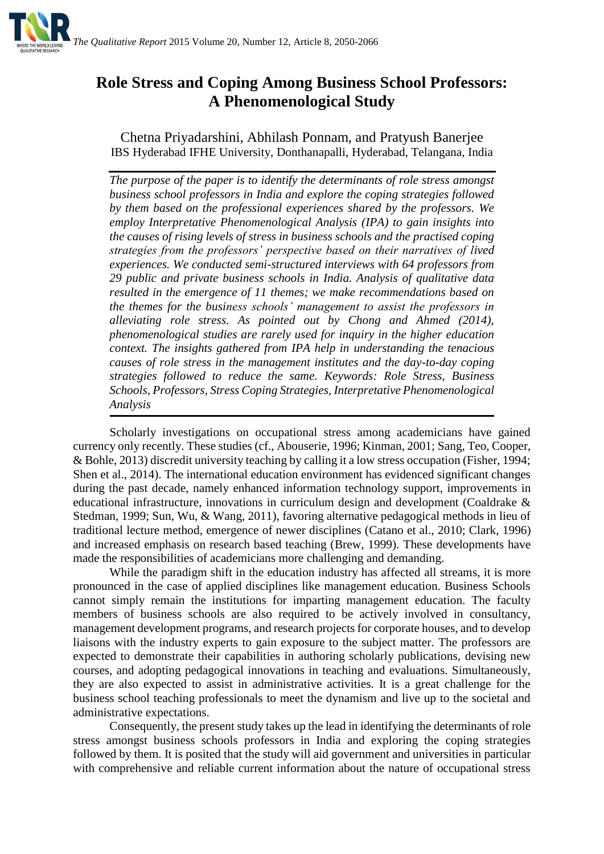

# **Role Stress and Coping Among Business School Professors: A Phenomenological Study**

Chetna Priyadarshini, Abhilash Ponnam, and Pratyush Banerjee IBS Hyderabad IFHE University, Donthanapalli, Hyderabad, Telangana, India

*The purpose of the paper is to identify the determinants of role stress amongst business school professors in India and explore the coping strategies followed by them based on the professional experiences shared by the professors. We employ Interpretative Phenomenological Analysis (IPA) to gain insights into the causes of rising levels of stress in business schools and the practised coping strategies from the professors' perspective based on their narratives of lived experiences. We conducted semi-structured interviews with 64 professors from 29 public and private business schools in India. Analysis of qualitative data resulted in the emergence of 11 themes; we make recommendations based on the themes for the business schools' management to assist the professors in alleviating role stress. As pointed out by Chong and Ahmed (2014), phenomenological studies are rarely used for inquiry in the higher education context. The insights gathered from IPA help in understanding the tenacious causes of role stress in the management institutes and the day-to-day coping strategies followed to reduce the same. Keywords: Role Stress, Business Schools, Professors, Stress Coping Strategies, Interpretative Phenomenological Analysis*

Scholarly investigations on occupational stress among academicians have gained currency only recently. These studies (cf., Abouserie, 1996; Kinman, 2001; Sang, Teo, Cooper, & Bohle, 2013) discredit university teaching by calling it a low stress occupation (Fisher, 1994; Shen et al., 2014). The international education environment has evidenced significant changes during the past decade, namely enhanced information technology support, improvements in educational infrastructure, innovations in curriculum design and development (Coaldrake & Stedman, 1999; Sun, Wu, & Wang, 2011), favoring alternative pedagogical methods in lieu of traditional lecture method, emergence of newer disciplines (Catano et al., 2010; Clark, 1996) and increased emphasis on research based teaching (Brew, 1999). These developments have made the responsibilities of academicians more challenging and demanding.

While the paradigm shift in the education industry has affected all streams, it is more pronounced in the case of applied disciplines like management education. Business Schools cannot simply remain the institutions for imparting management education. The faculty members of business schools are also required to be actively involved in consultancy, management development programs, and research projects for corporate houses, and to develop liaisons with the industry experts to gain exposure to the subject matter. The professors are expected to demonstrate their capabilities in authoring scholarly publications, devising new courses, and adopting pedagogical innovations in teaching and evaluations. Simultaneously, they are also expected to assist in administrative activities. It is a great challenge for the business school teaching professionals to meet the dynamism and live up to the societal and administrative expectations.

Consequently, the present study takes up the lead in identifying the determinants of role stress amongst business schools professors in India and exploring the coping strategies followed by them. It is posited that the study will aid government and universities in particular with comprehensive and reliable current information about the nature of occupational stress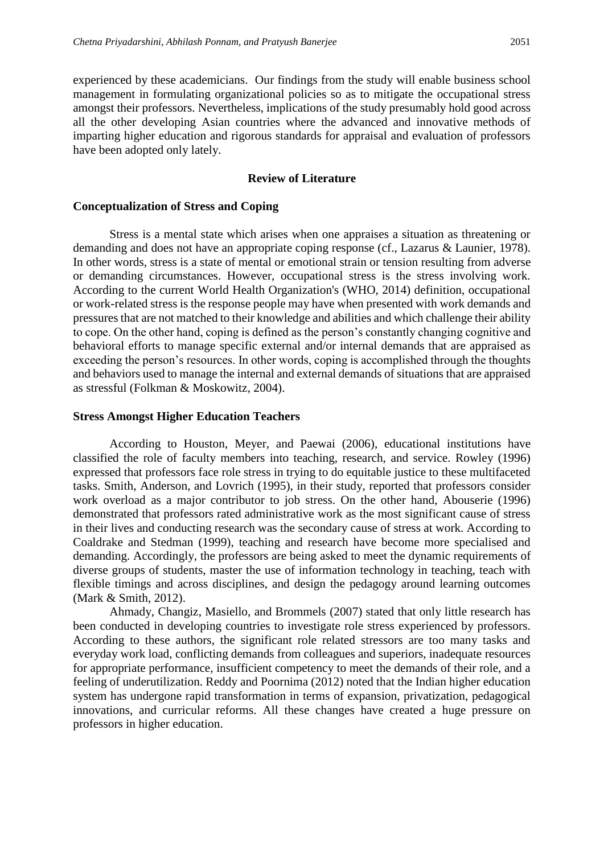experienced by these academicians. Our findings from the study will enable business school management in formulating organizational policies so as to mitigate the occupational stress amongst their professors. Nevertheless, implications of the study presumably hold good across all the other developing Asian countries where the advanced and innovative methods of imparting higher education and rigorous standards for appraisal and evaluation of professors have been adopted only lately.

#### **Review of Literature**

## **Conceptualization of Stress and Coping**

Stress is a mental state which arises when one appraises a situation as threatening or demanding and does not have an appropriate coping response (cf., Lazarus & Launier, 1978). In other words, stress is a state of mental or emotional strain or tension resulting from adverse or demanding circumstances. However, occupational stress is the stress involving work. According to the current World Health Organization's (WHO, 2014) definition, occupational or work-related stress is the response people may have when presented with work demands and pressures that are not matched to their knowledge and abilities and which challenge their ability to cope. On the other hand, coping is defined as the person's constantly changing cognitive and behavioral efforts to manage specific external and/or internal demands that are appraised as exceeding the person's resources. In other words, coping is accomplished through the thoughts and behaviors used to manage the internal and external demands of situations that are appraised as stressful (Folkman & Moskowitz, 2004).

#### **Stress Amongst Higher Education Teachers**

According to Houston, Meyer, and Paewai (2006), educational institutions have classified the role of faculty members into teaching, research, and service. Rowley (1996) expressed that professors face role stress in trying to do equitable justice to these multifaceted tasks. Smith, Anderson, and Lovrich (1995), in their study, reported that professors consider work overload as a major contributor to job stress. On the other hand, Abouserie (1996) demonstrated that professors rated administrative work as the most significant cause of stress in their lives and conducting research was the secondary cause of stress at work. According to Coaldrake and Stedman (1999), teaching and research have become more specialised and demanding. Accordingly, the professors are being asked to meet the dynamic requirements of diverse groups of students, master the use of information technology in teaching, teach with flexible timings and across disciplines, and design the pedagogy around learning outcomes (Mark & Smith, 2012).

Ahmady, Changiz, Masiello, and Brommels (2007) stated that only little research has been conducted in developing countries to investigate role stress experienced by professors. According to these authors, the significant role related stressors are too many tasks and everyday work load, conflicting demands from colleagues and superiors, inadequate resources for appropriate performance, insufficient competency to meet the demands of their role, and a feeling of underutilization. Reddy and Poornima (2012) noted that the Indian higher education system has undergone rapid transformation in terms of expansion, privatization, pedagogical innovations, and curricular reforms. All these changes have created a huge pressure on professors in higher education.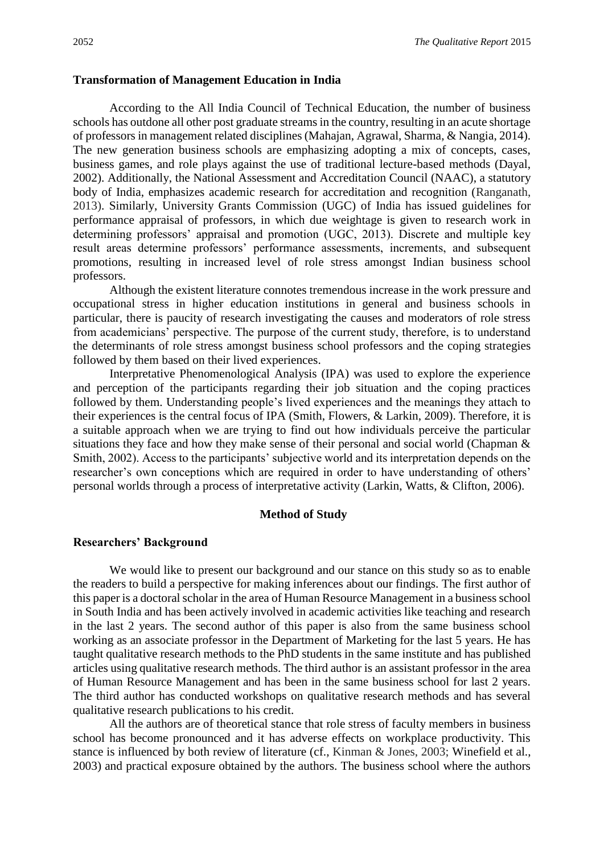#### **Transformation of Management Education in India**

According to the All India Council of Technical Education, the number of business schools has outdone all other post graduate streams in the country, resulting in an acute shortage of professors in management related disciplines (Mahajan, Agrawal, Sharma, & Nangia, 2014). The new generation business schools are emphasizing adopting a mix of concepts, cases, business games, and role plays against the use of traditional lecture-based methods (Dayal, 2002). Additionally, the National Assessment and Accreditation Council (NAAC), a statutory body of India, emphasizes academic research for accreditation and recognition (Ranganath, 2013). Similarly, University Grants Commission (UGC) of India has issued guidelines for performance appraisal of professors, in which due weightage is given to research work in determining professors' appraisal and promotion (UGC, 2013). Discrete and multiple key result areas determine professors' performance assessments, increments, and subsequent promotions, resulting in increased level of role stress amongst Indian business school professors.

Although the existent literature connotes tremendous increase in the work pressure and occupational stress in higher education institutions in general and business schools in particular, there is paucity of research investigating the causes and moderators of role stress from academicians' perspective. The purpose of the current study, therefore, is to understand the determinants of role stress amongst business school professors and the coping strategies followed by them based on their lived experiences.

Interpretative Phenomenological Analysis (IPA) was used to explore the experience and perception of the participants regarding their job situation and the coping practices followed by them. Understanding people's lived experiences and the meanings they attach to their experiences is the central focus of IPA (Smith, Flowers, & Larkin, 2009). Therefore, it is a suitable approach when we are trying to find out how individuals perceive the particular situations they face and how they make sense of their personal and social world (Chapman & Smith, 2002). Access to the participants' subjective world and its interpretation depends on the researcher's own conceptions which are required in order to have understanding of others' personal worlds through a process of interpretative activity (Larkin, Watts, & Clifton, 2006).

#### **Method of Study**

#### **Researchers' Background**

We would like to present our background and our stance on this study so as to enable the readers to build a perspective for making inferences about our findings. The first author of this paper is a doctoral scholar in the area of Human Resource Management in a business school in South India and has been actively involved in academic activities like teaching and research in the last 2 years. The second author of this paper is also from the same business school working as an associate professor in the Department of Marketing for the last 5 years. He has taught qualitative research methods to the PhD students in the same institute and has published articles using qualitative research methods. The third author is an assistant professor in the area of Human Resource Management and has been in the same business school for last 2 years. The third author has conducted workshops on qualitative research methods and has several qualitative research publications to his credit.

All the authors are of theoretical stance that role stress of faculty members in business school has become pronounced and it has adverse effects on workplace productivity. This stance is influenced by both review of literature (cf., Kinman & Jones, 2003; Winefield et al., 2003) and practical exposure obtained by the authors. The business school where the authors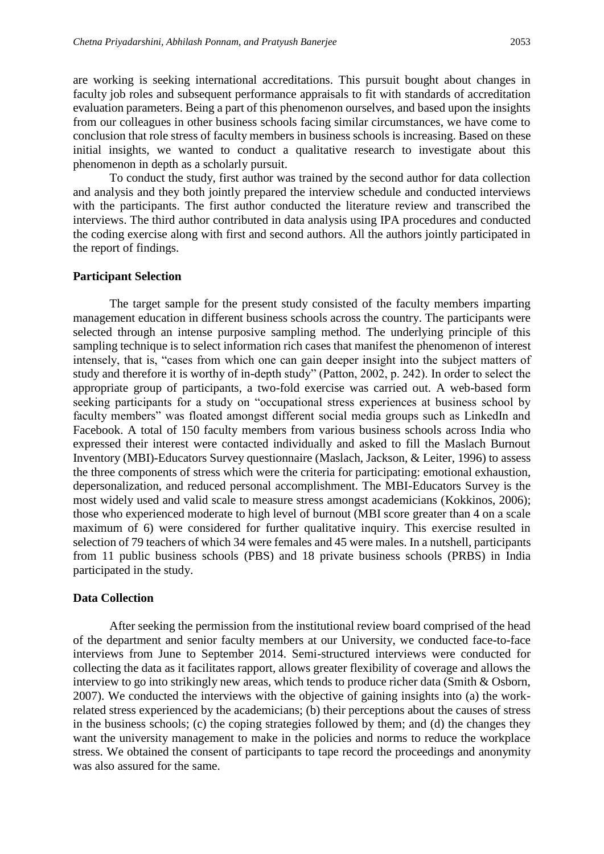are working is seeking international accreditations. This pursuit bought about changes in faculty job roles and subsequent performance appraisals to fit with standards of accreditation evaluation parameters. Being a part of this phenomenon ourselves, and based upon the insights from our colleagues in other business schools facing similar circumstances, we have come to conclusion that role stress of faculty members in business schools is increasing. Based on these initial insights, we wanted to conduct a qualitative research to investigate about this phenomenon in depth as a scholarly pursuit.

To conduct the study, first author was trained by the second author for data collection and analysis and they both jointly prepared the interview schedule and conducted interviews with the participants. The first author conducted the literature review and transcribed the interviews. The third author contributed in data analysis using IPA procedures and conducted the coding exercise along with first and second authors. All the authors jointly participated in the report of findings.

#### **Participant Selection**

The target sample for the present study consisted of the faculty members imparting management education in different business schools across the country. The participants were selected through an intense purposive sampling method. The underlying principle of this sampling technique is to select information rich cases that manifest the phenomenon of interest intensely, that is, "cases from which one can gain deeper insight into the subject matters of study and therefore it is worthy of in-depth study" (Patton, 2002, p. 242). In order to select the appropriate group of participants, a two-fold exercise was carried out. A web-based form seeking participants for a study on "occupational stress experiences at business school by faculty members" was floated amongst different social media groups such as LinkedIn and Facebook. A total of 150 faculty members from various business schools across India who expressed their interest were contacted individually and asked to fill the Maslach Burnout Inventory (MBI)-Educators Survey questionnaire (Maslach, Jackson, & Leiter, 1996) to assess the three components of stress which were the criteria for participating: emotional exhaustion, depersonalization, and reduced personal accomplishment. The MBI-Educators Survey is the most widely used and valid scale to measure stress amongst academicians (Kokkinos, 2006); those who experienced moderate to high level of burnout (MBI score greater than 4 on a scale maximum of 6) were considered for further qualitative inquiry. This exercise resulted in selection of 79 teachers of which 34 were females and 45 were males. In a nutshell, participants from 11 public business schools (PBS) and 18 private business schools (PRBS) in India participated in the study.

## **Data Collection**

After seeking the permission from the institutional review board comprised of the head of the department and senior faculty members at our University, we conducted face-to-face interviews from June to September 2014. Semi-structured interviews were conducted for collecting the data as it facilitates rapport, allows greater flexibility of coverage and allows the interview to go into strikingly new areas, which tends to produce richer data (Smith & Osborn, 2007). We conducted the interviews with the objective of gaining insights into (a) the workrelated stress experienced by the academicians; (b) their perceptions about the causes of stress in the business schools; (c) the coping strategies followed by them; and (d) the changes they want the university management to make in the policies and norms to reduce the workplace stress. We obtained the consent of participants to tape record the proceedings and anonymity was also assured for the same.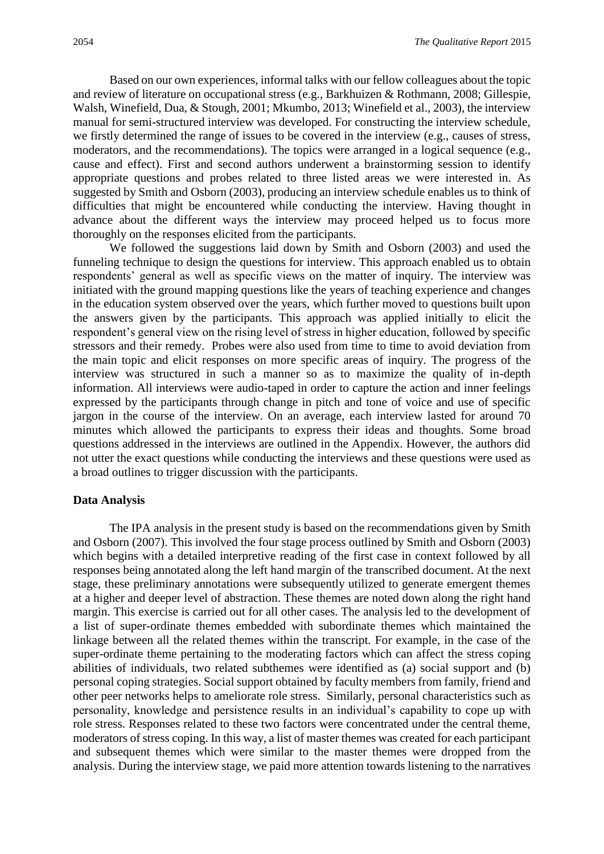Based on our own experiences, informal talks with our fellow colleagues about the topic and review of literature on occupational stress (e.g., Barkhuizen & Rothmann, 2008; Gillespie, Walsh, Winefield, Dua, & Stough, 2001; Mkumbo, 2013; Winefield et al., 2003), the interview manual for semi-structured interview was developed. For constructing the interview schedule, we firstly determined the range of issues to be covered in the interview (e.g., causes of stress, moderators, and the recommendations). The topics were arranged in a logical sequence (e.g., cause and effect). First and second authors underwent a brainstorming session to identify appropriate questions and probes related to three listed areas we were interested in. As suggested by Smith and Osborn (2003), producing an interview schedule enables us to think of difficulties that might be encountered while conducting the interview. Having thought in advance about the different ways the interview may proceed helped us to focus more thoroughly on the responses elicited from the participants.

We followed the suggestions laid down by Smith and Osborn (2003) and used the funneling technique to design the questions for interview. This approach enabled us to obtain respondents' general as well as specific views on the matter of inquiry. The interview was initiated with the ground mapping questions like the years of teaching experience and changes in the education system observed over the years, which further moved to questions built upon the answers given by the participants. This approach was applied initially to elicit the respondent's general view on the rising level of stress in higher education, followed by specific stressors and their remedy. Probes were also used from time to time to avoid deviation from the main topic and elicit responses on more specific areas of inquiry. The progress of the interview was structured in such a manner so as to maximize the quality of in-depth information. All interviews were audio-taped in order to capture the action and inner feelings expressed by the participants through change in pitch and tone of voice and use of specific jargon in the course of the interview. On an average, each interview lasted for around 70 minutes which allowed the participants to express their ideas and thoughts. Some broad questions addressed in the interviews are outlined in the Appendix. However, the authors did not utter the exact questions while conducting the interviews and these questions were used as a broad outlines to trigger discussion with the participants.

#### **Data Analysis**

The IPA analysis in the present study is based on the recommendations given by Smith and Osborn (2007). This involved the four stage process outlined by Smith and Osborn (2003) which begins with a detailed interpretive reading of the first case in context followed by all responses being annotated along the left hand margin of the transcribed document. At the next stage, these preliminary annotations were subsequently utilized to generate emergent themes at a higher and deeper level of abstraction. These themes are noted down along the right hand margin. This exercise is carried out for all other cases. The analysis led to the development of a list of super-ordinate themes embedded with subordinate themes which maintained the linkage between all the related themes within the transcript. For example, in the case of the super-ordinate theme pertaining to the moderating factors which can affect the stress coping abilities of individuals, two related subthemes were identified as (a) social support and (b) personal coping strategies. Social support obtained by faculty members from family, friend and other peer networks helps to ameliorate role stress. Similarly, personal characteristics such as personality, knowledge and persistence results in an individual's capability to cope up with role stress. Responses related to these two factors were concentrated under the central theme, moderators of stress coping. In this way, a list of master themes was created for each participant and subsequent themes which were similar to the master themes were dropped from the analysis. During the interview stage, we paid more attention towards listening to the narratives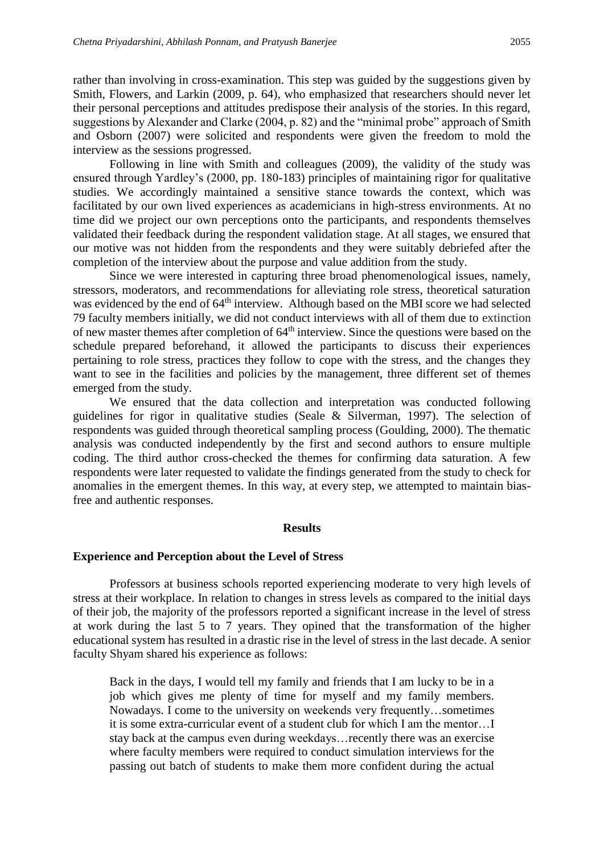rather than involving in cross-examination. This step was guided by the suggestions given by Smith, Flowers, and Larkin (2009, p. 64), who emphasized that researchers should never let their personal perceptions and attitudes predispose their analysis of the stories. In this regard, suggestions by Alexander and Clarke (2004, p. 82) and the "minimal probe" approach of Smith and Osborn (2007) were solicited and respondents were given the freedom to mold the interview as the sessions progressed.

Following in line with Smith and colleagues (2009), the validity of the study was ensured through Yardley's (2000, pp. 180-183) principles of maintaining rigor for qualitative studies. We accordingly maintained a sensitive stance towards the context, which was facilitated by our own lived experiences as academicians in high-stress environments. At no time did we project our own perceptions onto the participants, and respondents themselves validated their feedback during the respondent validation stage. At all stages, we ensured that our motive was not hidden from the respondents and they were suitably debriefed after the completion of the interview about the purpose and value addition from the study.

Since we were interested in capturing three broad phenomenological issues, namely, stressors, moderators, and recommendations for alleviating role stress, theoretical saturation was evidenced by the end of 64<sup>th</sup> interview. Although based on the MBI score we had selected 79 faculty members initially, we did not conduct interviews with all of them due to extinction of new master themes after completion of  $64<sup>th</sup>$  interview. Since the questions were based on the schedule prepared beforehand, it allowed the participants to discuss their experiences pertaining to role stress, practices they follow to cope with the stress, and the changes they want to see in the facilities and policies by the management, three different set of themes emerged from the study.

We ensured that the data collection and interpretation was conducted following guidelines for rigor in qualitative studies (Seale & Silverman, 1997). The selection of respondents was guided through theoretical sampling process (Goulding, 2000). The thematic analysis was conducted independently by the first and second authors to ensure multiple coding. The third author cross-checked the themes for confirming data saturation. A few respondents were later requested to validate the findings generated from the study to check for anomalies in the emergent themes. In this way, at every step, we attempted to maintain biasfree and authentic responses.

#### **Results**

#### **Experience and Perception about the Level of Stress**

Professors at business schools reported experiencing moderate to very high levels of stress at their workplace. In relation to changes in stress levels as compared to the initial days of their job, the majority of the professors reported a significant increase in the level of stress at work during the last 5 to 7 years. They opined that the transformation of the higher educational system has resulted in a drastic rise in the level of stress in the last decade. A senior faculty Shyam shared his experience as follows:

Back in the days, I would tell my family and friends that I am lucky to be in a job which gives me plenty of time for myself and my family members. Nowadays. I come to the university on weekends very frequently…sometimes it is some extra-curricular event of a student club for which I am the mentor…I stay back at the campus even during weekdays…recently there was an exercise where faculty members were required to conduct simulation interviews for the passing out batch of students to make them more confident during the actual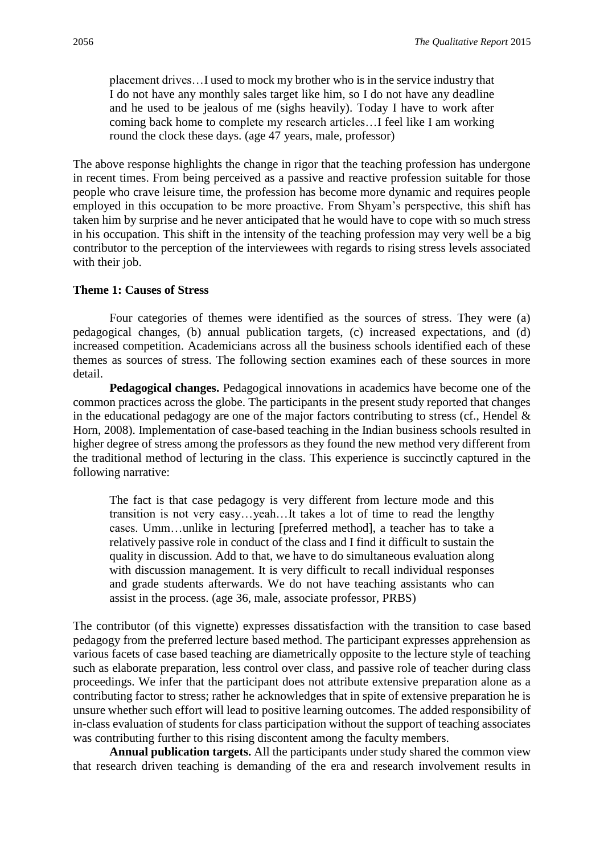placement drives…I used to mock my brother who is in the service industry that I do not have any monthly sales target like him, so I do not have any deadline and he used to be jealous of me (sighs heavily). Today I have to work after coming back home to complete my research articles…I feel like I am working round the clock these days. (age 47 years, male, professor)

The above response highlights the change in rigor that the teaching profession has undergone in recent times. From being perceived as a passive and reactive profession suitable for those people who crave leisure time, the profession has become more dynamic and requires people employed in this occupation to be more proactive. From Shyam's perspective, this shift has taken him by surprise and he never anticipated that he would have to cope with so much stress in his occupation. This shift in the intensity of the teaching profession may very well be a big contributor to the perception of the interviewees with regards to rising stress levels associated with their job.

# **Theme 1: Causes of Stress**

Four categories of themes were identified as the sources of stress. They were (a) pedagogical changes, (b) annual publication targets, (c) increased expectations, and (d) increased competition. Academicians across all the business schools identified each of these themes as sources of stress. The following section examines each of these sources in more detail.

**Pedagogical changes.** Pedagogical innovations in academics have become one of the common practices across the globe. The participants in the present study reported that changes in the educational pedagogy are one of the major factors contributing to stress (cf., Hendel  $\&$ Horn, 2008). Implementation of case-based teaching in the Indian business schools resulted in higher degree of stress among the professors as they found the new method very different from the traditional method of lecturing in the class. This experience is succinctly captured in the following narrative:

The fact is that case pedagogy is very different from lecture mode and this transition is not very easy…yeah…It takes a lot of time to read the lengthy cases. Umm…unlike in lecturing [preferred method], a teacher has to take a relatively passive role in conduct of the class and I find it difficult to sustain the quality in discussion. Add to that, we have to do simultaneous evaluation along with discussion management. It is very difficult to recall individual responses and grade students afterwards. We do not have teaching assistants who can assist in the process. (age 36, male, associate professor, PRBS)

The contributor (of this vignette) expresses dissatisfaction with the transition to case based pedagogy from the preferred lecture based method. The participant expresses apprehension as various facets of case based teaching are diametrically opposite to the lecture style of teaching such as elaborate preparation, less control over class, and passive role of teacher during class proceedings. We infer that the participant does not attribute extensive preparation alone as a contributing factor to stress; rather he acknowledges that in spite of extensive preparation he is unsure whether such effort will lead to positive learning outcomes. The added responsibility of in-class evaluation of students for class participation without the support of teaching associates was contributing further to this rising discontent among the faculty members.

**Annual publication targets.** All the participants under study shared the common view that research driven teaching is demanding of the era and research involvement results in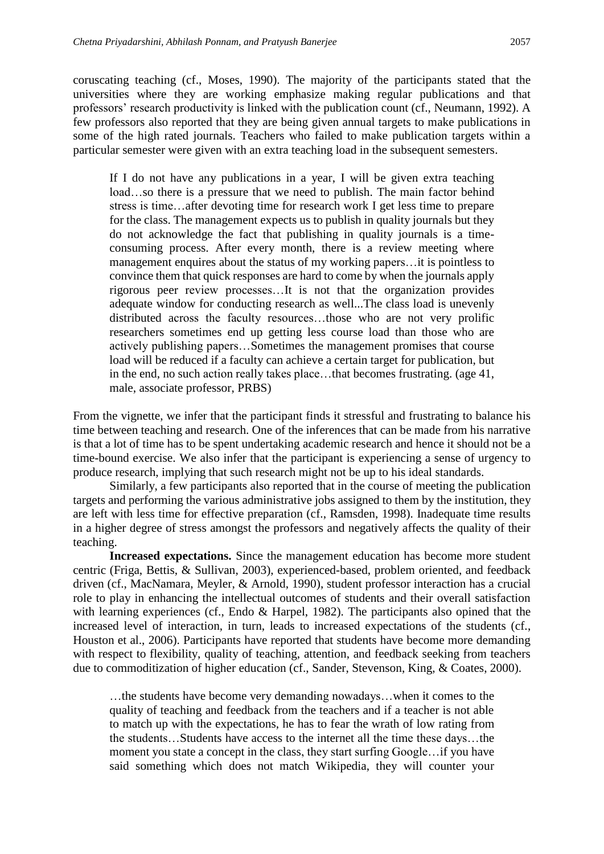coruscating teaching (cf., Moses, 1990). The majority of the participants stated that the universities where they are working emphasize making regular publications and that professors' research productivity is linked with the publication count (cf., Neumann, 1992). A few professors also reported that they are being given annual targets to make publications in some of the high rated journals. Teachers who failed to make publication targets within a particular semester were given with an extra teaching load in the subsequent semesters.

If I do not have any publications in a year, I will be given extra teaching load...so there is a pressure that we need to publish. The main factor behind stress is time…after devoting time for research work I get less time to prepare for the class. The management expects us to publish in quality journals but they do not acknowledge the fact that publishing in quality journals is a timeconsuming process. After every month, there is a review meeting where management enquires about the status of my working papers…it is pointless to convince them that quick responses are hard to come by when the journals apply rigorous peer review processes…It is not that the organization provides adequate window for conducting research as well...The class load is unevenly distributed across the faculty resources…those who are not very prolific researchers sometimes end up getting less course load than those who are actively publishing papers…Sometimes the management promises that course load will be reduced if a faculty can achieve a certain target for publication, but in the end, no such action really takes place…that becomes frustrating. (age 41, male, associate professor, PRBS)

From the vignette, we infer that the participant finds it stressful and frustrating to balance his time between teaching and research. One of the inferences that can be made from his narrative is that a lot of time has to be spent undertaking academic research and hence it should not be a time-bound exercise. We also infer that the participant is experiencing a sense of urgency to produce research, implying that such research might not be up to his ideal standards.

Similarly, a few participants also reported that in the course of meeting the publication targets and performing the various administrative jobs assigned to them by the institution, they are left with less time for effective preparation (cf., Ramsden, 1998). Inadequate time results in a higher degree of stress amongst the professors and negatively affects the quality of their teaching.

**Increased expectations.** Since the management education has become more student centric (Friga, Bettis, & Sullivan, 2003), experienced-based, problem oriented, and feedback driven (cf., MacNamara, Meyler, & Arnold, 1990), student professor interaction has a crucial role to play in enhancing the intellectual outcomes of students and their overall satisfaction with learning experiences (cf., Endo & Harpel, 1982). The participants also opined that the increased level of interaction, in turn, leads to increased expectations of the students (cf., Houston et al., 2006). Participants have reported that students have become more demanding with respect to flexibility, quality of teaching, attention, and feedback seeking from teachers due to commoditization of higher education (cf., Sander, Stevenson, King, & Coates, 2000).

…the students have become very demanding nowadays…when it comes to the quality of teaching and feedback from the teachers and if a teacher is not able to match up with the expectations, he has to fear the wrath of low rating from the students…Students have access to the internet all the time these days…the moment you state a concept in the class, they start surfing Google…if you have said something which does not match Wikipedia, they will counter your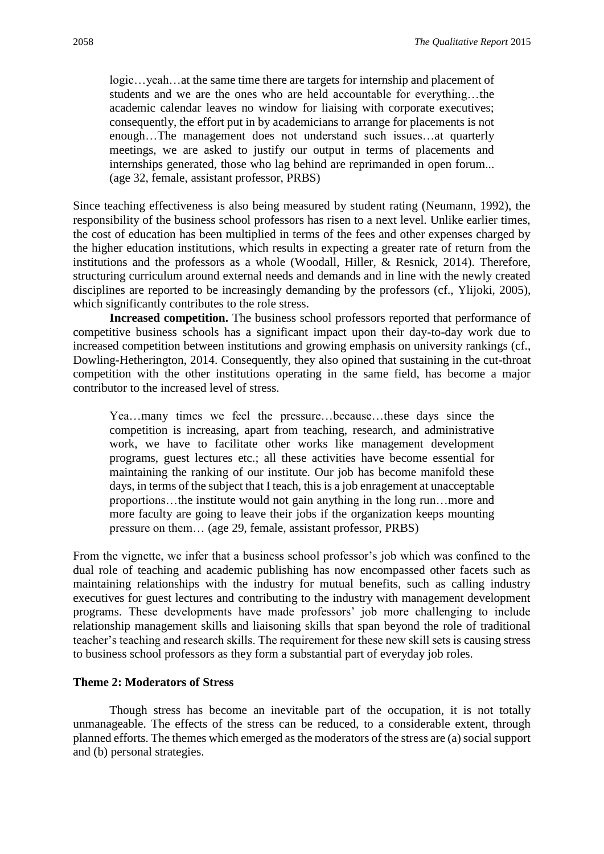logic…yeah…at the same time there are targets for internship and placement of students and we are the ones who are held accountable for everything…the academic calendar leaves no window for liaising with corporate executives; consequently, the effort put in by academicians to arrange for placements is not enough…The management does not understand such issues…at quarterly meetings, we are asked to justify our output in terms of placements and internships generated, those who lag behind are reprimanded in open forum... (age 32, female, assistant professor, PRBS)

Since teaching effectiveness is also being measured by student rating (Neumann, 1992), the responsibility of the business school professors has risen to a next level. Unlike earlier times, the cost of education has been multiplied in terms of the fees and other expenses charged by the higher education institutions, which results in expecting a greater rate of return from the institutions and the professors as a whole (Woodall, Hiller, & Resnick, 2014). Therefore, structuring curriculum around external needs and demands and in line with the newly created disciplines are reported to be increasingly demanding by the professors (cf., Ylijoki, 2005), which significantly contributes to the role stress.

**Increased competition.** The business school professors reported that performance of competitive business schools has a significant impact upon their day-to-day work due to increased competition between institutions and growing emphasis on university rankings (cf., Dowling-Hetherington, 2014. Consequently, they also opined that sustaining in the cut-throat competition with the other institutions operating in the same field, has become a major contributor to the increased level of stress.

Yea…many times we feel the pressure…because…these days since the competition is increasing, apart from teaching, research, and administrative work, we have to facilitate other works like management development programs, guest lectures etc.; all these activities have become essential for maintaining the ranking of our institute. Our job has become manifold these days, in terms of the subject that I teach, this is a job enragement at unacceptable proportions…the institute would not gain anything in the long run…more and more faculty are going to leave their jobs if the organization keeps mounting pressure on them… (age 29, female, assistant professor, PRBS)

From the vignette, we infer that a business school professor's job which was confined to the dual role of teaching and academic publishing has now encompassed other facets such as maintaining relationships with the industry for mutual benefits, such as calling industry executives for guest lectures and contributing to the industry with management development programs. These developments have made professors' job more challenging to include relationship management skills and liaisoning skills that span beyond the role of traditional teacher's teaching and research skills. The requirement for these new skill sets is causing stress to business school professors as they form a substantial part of everyday job roles.

# **Theme 2: Moderators of Stress**

Though stress has become an inevitable part of the occupation, it is not totally unmanageable. The effects of the stress can be reduced, to a considerable extent, through planned efforts. The themes which emerged as the moderators of the stress are (a) social support and (b) personal strategies.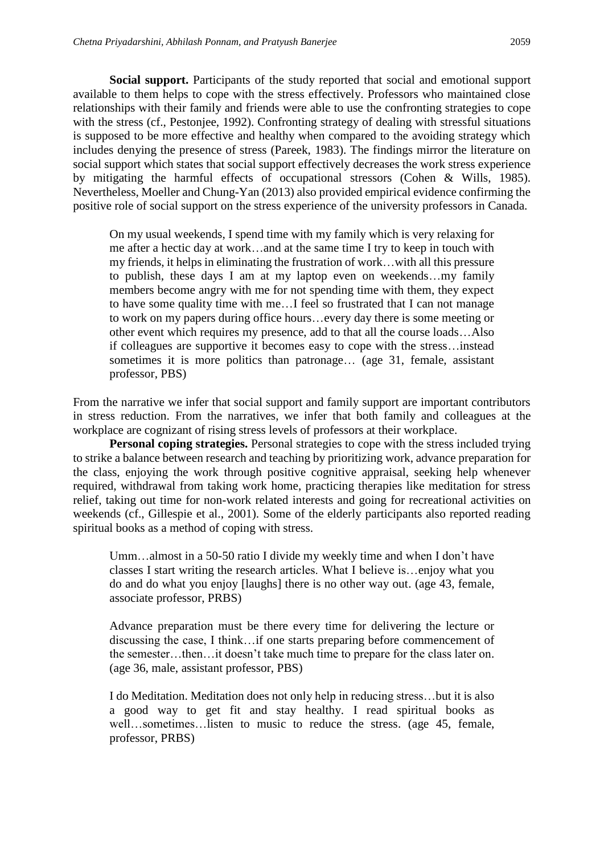**Social support.** Participants of the study reported that social and emotional support available to them helps to cope with the stress effectively. Professors who maintained close relationships with their family and friends were able to use the confronting strategies to cope with the stress (cf., Pestonjee, 1992). Confronting strategy of dealing with stressful situations is supposed to be more effective and healthy when compared to the avoiding strategy which includes denying the presence of stress (Pareek, 1983). The findings mirror the literature on social support which states that social support effectively decreases the work stress experience by mitigating the harmful effects of occupational stressors (Cohen & Wills, 1985). Nevertheless, Moeller and Chung-Yan (2013) also provided empirical evidence confirming the positive role of social support on the stress experience of the university professors in Canada.

On my usual weekends, I spend time with my family which is very relaxing for me after a hectic day at work…and at the same time I try to keep in touch with my friends, it helps in eliminating the frustration of work…with all this pressure to publish, these days I am at my laptop even on weekends…my family members become angry with me for not spending time with them, they expect to have some quality time with me…I feel so frustrated that I can not manage to work on my papers during office hours…every day there is some meeting or other event which requires my presence, add to that all the course loads…Also if colleagues are supportive it becomes easy to cope with the stress…instead sometimes it is more politics than patronage... (age 31, female, assistant professor, PBS)

From the narrative we infer that social support and family support are important contributors in stress reduction. From the narratives, we infer that both family and colleagues at the workplace are cognizant of rising stress levels of professors at their workplace.

**Personal coping strategies.** Personal strategies to cope with the stress included trying to strike a balance between research and teaching by prioritizing work, advance preparation for the class, enjoying the work through positive cognitive appraisal, seeking help whenever required, withdrawal from taking work home, practicing therapies like meditation for stress relief, taking out time for non-work related interests and going for recreational activities on weekends (cf., Gillespie et al., 2001). Some of the elderly participants also reported reading spiritual books as a method of coping with stress.

Umm…almost in a 50-50 ratio I divide my weekly time and when I don't have classes I start writing the research articles. What I believe is…enjoy what you do and do what you enjoy [laughs] there is no other way out. (age 43, female, associate professor, PRBS)

Advance preparation must be there every time for delivering the lecture or discussing the case, I think…if one starts preparing before commencement of the semester…then…it doesn't take much time to prepare for the class later on. (age 36, male, assistant professor, PBS)

I do Meditation. Meditation does not only help in reducing stress…but it is also a good way to get fit and stay healthy. I read spiritual books as well…sometimes…listen to music to reduce the stress. (age 45, female, professor, PRBS)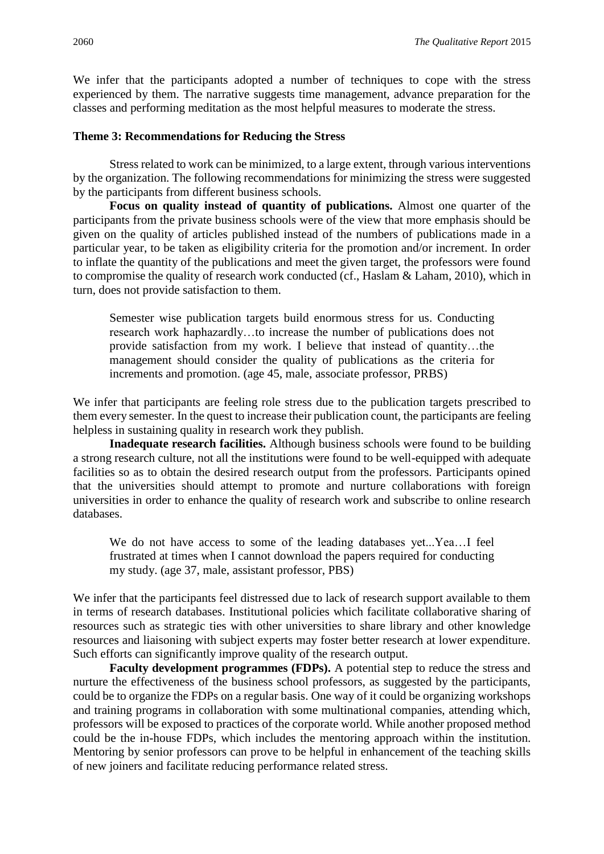We infer that the participants adopted a number of techniques to cope with the stress experienced by them. The narrative suggests time management, advance preparation for the classes and performing meditation as the most helpful measures to moderate the stress.

# **Theme 3: Recommendations for Reducing the Stress**

Stress related to work can be minimized, to a large extent, through various interventions by the organization. The following recommendations for minimizing the stress were suggested by the participants from different business schools.

**Focus on quality instead of quantity of publications.** Almost one quarter of the participants from the private business schools were of the view that more emphasis should be given on the quality of articles published instead of the numbers of publications made in a particular year, to be taken as eligibility criteria for the promotion and/or increment. In order to inflate the quantity of the publications and meet the given target, the professors were found to compromise the quality of research work conducted (cf., Haslam & Laham, 2010), which in turn, does not provide satisfaction to them.

Semester wise publication targets build enormous stress for us. Conducting research work haphazardly…to increase the number of publications does not provide satisfaction from my work. I believe that instead of quantity…the management should consider the quality of publications as the criteria for increments and promotion. (age 45, male, associate professor, PRBS)

We infer that participants are feeling role stress due to the publication targets prescribed to them every semester. In the quest to increase their publication count, the participants are feeling helpless in sustaining quality in research work they publish.

**Inadequate research facilities.** Although business schools were found to be building a strong research culture, not all the institutions were found to be well-equipped with adequate facilities so as to obtain the desired research output from the professors. Participants opined that the universities should attempt to promote and nurture collaborations with foreign universities in order to enhance the quality of research work and subscribe to online research databases.

We do not have access to some of the leading databases yet...Yea...I feel frustrated at times when I cannot download the papers required for conducting my study. (age 37, male, assistant professor, PBS)

We infer that the participants feel distressed due to lack of research support available to them in terms of research databases. Institutional policies which facilitate collaborative sharing of resources such as strategic ties with other universities to share library and other knowledge resources and liaisoning with subject experts may foster better research at lower expenditure. Such efforts can significantly improve quality of the research output.

**Faculty development programmes (FDPs).** A potential step to reduce the stress and nurture the effectiveness of the business school professors, as suggested by the participants, could be to organize the FDPs on a regular basis. One way of it could be organizing workshops and training programs in collaboration with some multinational companies, attending which, professors will be exposed to practices of the corporate world. While another proposed method could be the in-house FDPs, which includes the mentoring approach within the institution. Mentoring by senior professors can prove to be helpful in enhancement of the teaching skills of new joiners and facilitate reducing performance related stress.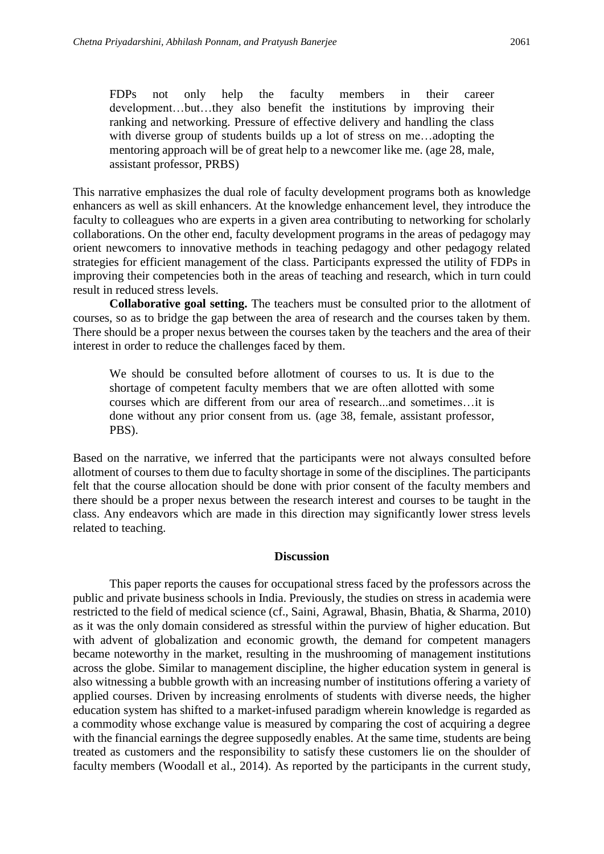FDPs not only help the faculty members in their career development…but…they also benefit the institutions by improving their ranking and networking. Pressure of effective delivery and handling the class with diverse group of students builds up a lot of stress on me…adopting the mentoring approach will be of great help to a newcomer like me. (age 28, male, assistant professor, PRBS)

This narrative emphasizes the dual role of faculty development programs both as knowledge enhancers as well as skill enhancers. At the knowledge enhancement level, they introduce the faculty to colleagues who are experts in a given area contributing to networking for scholarly collaborations. On the other end, faculty development programs in the areas of pedagogy may orient newcomers to innovative methods in teaching pedagogy and other pedagogy related strategies for efficient management of the class. Participants expressed the utility of FDPs in improving their competencies both in the areas of teaching and research, which in turn could result in reduced stress levels.

**Collaborative goal setting.** The teachers must be consulted prior to the allotment of courses, so as to bridge the gap between the area of research and the courses taken by them. There should be a proper nexus between the courses taken by the teachers and the area of their interest in order to reduce the challenges faced by them.

We should be consulted before allotment of courses to us. It is due to the shortage of competent faculty members that we are often allotted with some courses which are different from our area of research...and sometimes…it is done without any prior consent from us. (age 38, female, assistant professor, PBS).

Based on the narrative, we inferred that the participants were not always consulted before allotment of courses to them due to faculty shortage in some of the disciplines. The participants felt that the course allocation should be done with prior consent of the faculty members and there should be a proper nexus between the research interest and courses to be taught in the class. Any endeavors which are made in this direction may significantly lower stress levels related to teaching.

#### **Discussion**

This paper reports the causes for occupational stress faced by the professors across the public and private business schools in India. Previously, the studies on stress in academia were restricted to the field of medical science (cf., Saini, Agrawal, Bhasin, Bhatia, & Sharma, 2010) as it was the only domain considered as stressful within the purview of higher education. But with advent of globalization and economic growth, the demand for competent managers became noteworthy in the market, resulting in the mushrooming of management institutions across the globe. Similar to management discipline, the higher education system in general is also witnessing a bubble growth with an increasing number of institutions offering a variety of applied courses. Driven by increasing enrolments of students with diverse needs, the higher education system has shifted to a market-infused paradigm wherein knowledge is regarded as a commodity whose exchange value is measured by comparing the cost of acquiring a degree with the financial earnings the degree supposedly enables. At the same time, students are being treated as customers and the responsibility to satisfy these customers lie on the shoulder of faculty members (Woodall et al., 2014). As reported by the participants in the current study,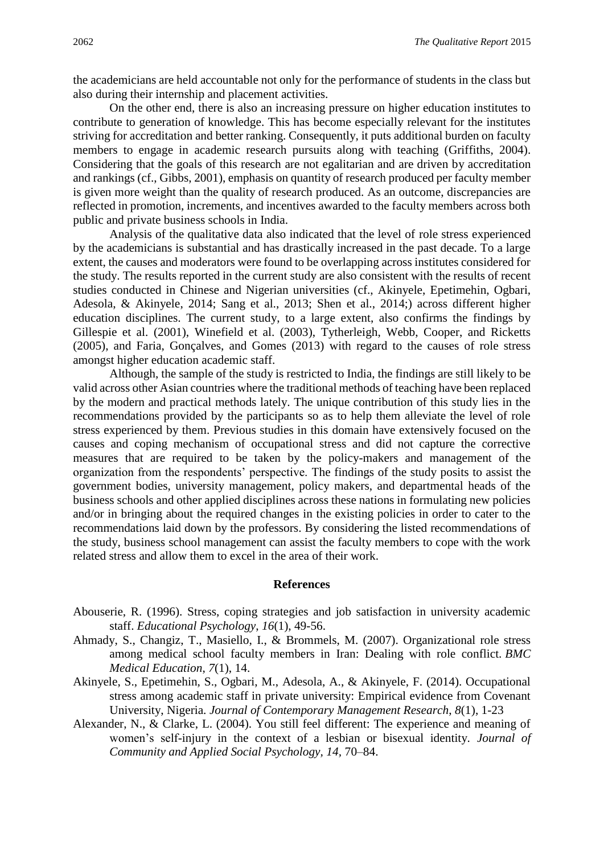the academicians are held accountable not only for the performance of students in the class but also during their internship and placement activities.

On the other end, there is also an increasing pressure on higher education institutes to contribute to generation of knowledge. This has become especially relevant for the institutes striving for accreditation and better ranking. Consequently, it puts additional burden on faculty members to engage in academic research pursuits along with teaching (Griffiths, 2004). Considering that the goals of this research are not egalitarian and are driven by accreditation and rankings (cf., Gibbs, 2001), emphasis on quantity of research produced per faculty member is given more weight than the quality of research produced. As an outcome, discrepancies are reflected in promotion, increments, and incentives awarded to the faculty members across both public and private business schools in India.

Analysis of the qualitative data also indicated that the level of role stress experienced by the academicians is substantial and has drastically increased in the past decade. To a large extent, the causes and moderators were found to be overlapping across institutes considered for the study. The results reported in the current study are also consistent with the results of recent studies conducted in Chinese and Nigerian universities (cf., Akinyele, Epetimehin, Ogbari, Adesola, & Akinyele, 2014; Sang et al., 2013; Shen et al., 2014;) across different higher education disciplines. The current study, to a large extent, also confirms the findings by Gillespie et al. (2001), Winefield et al. (2003), Tytherleigh, Webb, Cooper, and Ricketts (2005), and Faria, Gonçalves, and Gomes (2013) with regard to the causes of role stress amongst higher education academic staff.

Although, the sample of the study is restricted to India, the findings are still likely to be valid across other Asian countries where the traditional methods of teaching have been replaced by the modern and practical methods lately. The unique contribution of this study lies in the recommendations provided by the participants so as to help them alleviate the level of role stress experienced by them. Previous studies in this domain have extensively focused on the causes and coping mechanism of occupational stress and did not capture the corrective measures that are required to be taken by the policy-makers and management of the organization from the respondents' perspective. The findings of the study posits to assist the government bodies, university management, policy makers, and departmental heads of the business schools and other applied disciplines across these nations in formulating new policies and/or in bringing about the required changes in the existing policies in order to cater to the recommendations laid down by the professors. By considering the listed recommendations of the study, business school management can assist the faculty members to cope with the work related stress and allow them to excel in the area of their work.

#### **References**

- Abouserie, R. (1996). Stress, coping strategies and job satisfaction in university academic staff. *Educational Psychology*, *16*(1), 49-56.
- Ahmady, S., Changiz, T., Masiello, I., & Brommels, M. (2007). Organizational role stress among medical school faculty members in Iran: Dealing with role conflict. *BMC Medical Education*, *7*(1), 14.
- Akinyele, S., Epetimehin, S., Ogbari, M., Adesola, A., & Akinyele, F. (2014). Occupational stress among academic staff in private university: Empirical evidence from Covenant University, Nigeria. *Journal of Contemporary Management Research*, *8*(1), 1-23
- Alexander, N., & Clarke, L. (2004). You still feel different: The experience and meaning of women's self-injury in the context of a lesbian or bisexual identity. *Journal of Community and Applied Social Psychology, 14,* 70–84.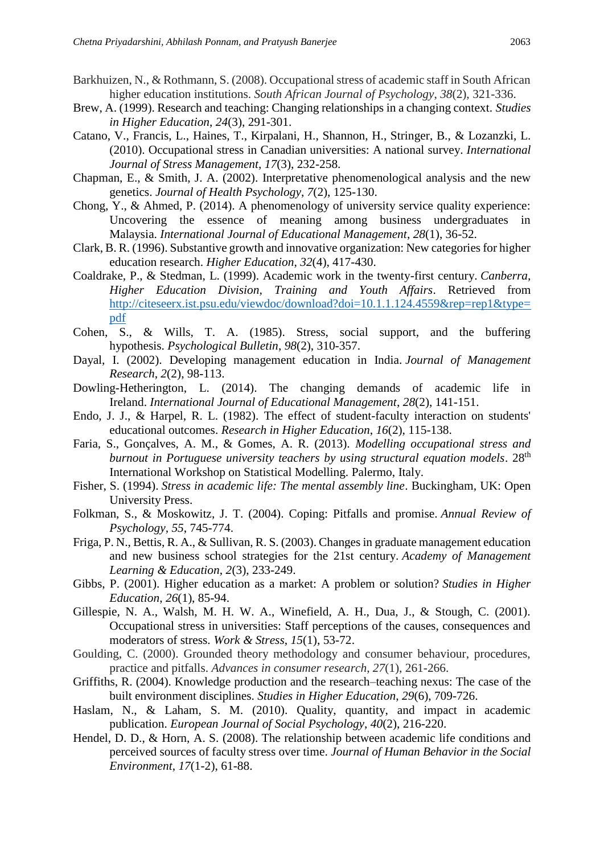- Barkhuizen, N., & Rothmann, S. (2008). Occupational stress of academic staff in South African higher education institutions. *South African Journal of Psychology*, *38*(2), 321-336.
- Brew, A. (1999). Research and teaching: Changing relationships in a changing context. *Studies in Higher Education*, *24*(3), 291-301.
- Catano, V., Francis, L., Haines, T., Kirpalani, H., Shannon, H., Stringer, B., & Lozanzki, L. (2010). Occupational stress in Canadian universities: A national survey. *International Journal of Stress Management*, *17*(3), 232-258.
- Chapman, E., & Smith, J. A. (2002). Interpretative phenomenological analysis and the new genetics. *Journal of Health Psychology*, *7*(2), 125-130.
- Chong, Y., & Ahmed, P. (2014). A phenomenology of university service quality experience: Uncovering the essence of meaning among business undergraduates in Malaysia. *International Journal of Educational Management*, *28*(1), 36-52.
- Clark, B. R. (1996). Substantive growth and innovative organization: New categories for higher education research. *Higher Education*, *32*(4), 417-430.
- Coaldrake, P., & Stedman, L. (1999). Academic work in the twenty-first century. *Canberra, Higher Education Division, Training and Youth Affairs*. Retrieved from [http://citeseerx.ist.psu.edu/viewdoc/download?doi=10.1.1.124.4559&rep=rep1&type=](http://citeseerx.ist.psu.edu/viewdoc/download?doi=10.1.1.124.4559&rep=rep1&type=pdf) [pdf](http://citeseerx.ist.psu.edu/viewdoc/download?doi=10.1.1.124.4559&rep=rep1&type=pdf)
- Cohen, S., & Wills, T. A. (1985). Stress, social support, and the buffering hypothesis. *Psychological Bulletin*, *98*(2), 310-357.
- Dayal, I. (2002). Developing management education in India. *Journal of Management Research*, *2*(2), 98-113.
- Dowling-Hetherington, L. (2014). The changing demands of academic life in Ireland. *International Journal of Educational Management*, *28*(2), 141-151.
- Endo, J. J., & Harpel, R. L. (1982). The effect of student-faculty interaction on students' educational outcomes. *Research in Higher Education*, *16*(2), 115-138.
- Faria, S., Gonçalves, A. M., & Gomes, A. R. (2013). *Modelling occupational stress and burnout in Portuguese university teachers by using structural equation models.* 28<sup>th</sup> International Workshop on Statistical Modelling. Palermo, Italy.
- Fisher, S. (1994). *Stress in academic life: The mental assembly line*. Buckingham, UK: Open University Press.
- Folkman, S., & Moskowitz, J. T. (2004). Coping: Pitfalls and promise. *Annual Review of Psychology, 55*, 745-774.
- Friga, P. N., Bettis, R. A., & Sullivan, R. S. (2003). Changes in graduate management education and new business school strategies for the 21st century. *Academy of Management Learning & Education*, *2*(3), 233-249.
- Gibbs, P. (2001). Higher education as a market: A problem or solution? *Studies in Higher Education*, *26*(1), 85-94.
- Gillespie, N. A., Walsh, M. H. W. A., Winefield, A. H., Dua, J., & Stough, C. (2001). Occupational stress in universities: Staff perceptions of the causes, consequences and moderators of stress. *Work & Stress*, *15*(1), 53-72.
- Goulding, C. (2000). Grounded theory methodology and consumer behaviour, procedures, practice and pitfalls. *Advances in consumer research*, *27*(1), 261-266.
- Griffiths, R. (2004). Knowledge production and the research–teaching nexus: The case of the built environment disciplines. *Studies in Higher Education*, *29*(6), 709-726.
- Haslam, N., & Laham, S. M. (2010). Quality, quantity, and impact in academic publication. *European Journal of Social Psychology*, *40*(2), 216-220.
- Hendel, D. D., & Horn, A. S. (2008). The relationship between academic life conditions and perceived sources of faculty stress over time. *Journal of Human Behavior in the Social Environment*, *17*(1-2), 61-88.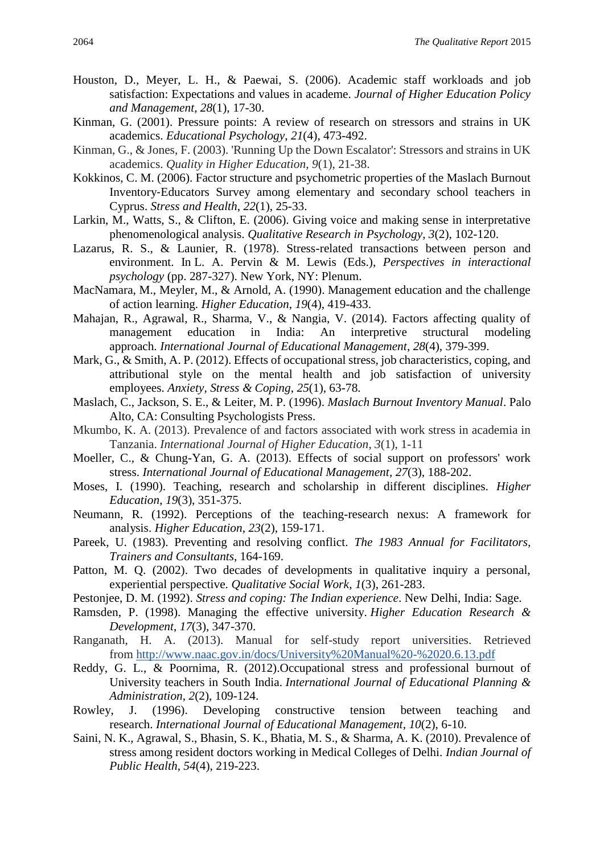- Houston, D., Meyer, L. H., & Paewai, S. (2006). Academic staff workloads and job satisfaction: Expectations and values in academe. *Journal of Higher Education Policy and Management*, *28*(1), 17-30.
- Kinman, G. (2001). Pressure points: A review of research on stressors and strains in UK academics. *Educational Psychology*, *21*(4), 473-492.
- Kinman, G., & Jones, F. (2003). 'Running Up the Down Escalator': Stressors and strains in UK academics. *Quality in Higher Education*, *9*(1), 21-38.
- Kokkinos, C. M. (2006). Factor structure and psychometric properties of the Maslach Burnout Inventory‐Educators Survey among elementary and secondary school teachers in Cyprus. *Stress and Health*, *22*(1), 25-33.
- Larkin, M., Watts, S., & Clifton, E. (2006). Giving voice and making sense in interpretative phenomenological analysis. *Qualitative Research in Psychology*, *3*(2), 102-120.
- Lazarus, R. S., & Launier, R. (1978). Stress-related transactions between person and environment. In L. A. Pervin & M. Lewis (Eds.), *Perspectives in interactional psychology* (pp. 287-327). New York, NY: Plenum.
- MacNamara, M., Meyler, M., & Arnold, A. (1990). Management education and the challenge of action learning. *Higher Education*, *19*(4), 419-433.
- Mahajan, R., Agrawal, R., Sharma, V., & Nangia, V. (2014). Factors affecting quality of management education in India: An interpretive structural modeling approach. *International Journal of Educational Management*, *28*(4), 379-399.
- Mark, G., & Smith, A. P. (2012). Effects of occupational stress, job characteristics, coping, and attributional style on the mental health and job satisfaction of university employees. *Anxiety, Stress & Coping*, *25*(1), 63-78.
- Maslach, C., Jackson, S. E., & Leiter, M. P. (1996). *Maslach Burnout Inventory Manual*. Palo Alto, CA: Consulting Psychologists Press.
- Mkumbo, K. A. (2013). Prevalence of and factors associated with work stress in academia in Tanzania. *International Journal of Higher Education*, *3*(1), 1-11
- Moeller, C., & Chung-Yan, G. A. (2013). Effects of social support on professors' work stress. *International Journal of Educational Management*, *27*(3), 188-202.
- Moses, I. (1990). Teaching, research and scholarship in different disciplines. *Higher Education*, *19*(3), 351-375.
- Neumann, R. (1992). Perceptions of the teaching-research nexus: A framework for analysis. *Higher Education*, *23*(2), 159-171.
- Pareek, U. (1983). Preventing and resolving conflict. *The 1983 Annual for Facilitators, Trainers and Consultants*, 164-169.
- Patton, M. Q. (2002). Two decades of developments in qualitative inquiry a personal, experiential perspective. *Qualitative Social Work*, *1*(3), 261-283.
- Pestonjee, D. M. (1992). *Stress and coping: The Indian experience*. New Delhi, India: Sage.
- Ramsden, P. (1998). Managing the effective university. *Higher Education Research & Development*, *17*(3), 347-370.
- Ranganath, H. A. (2013). Manual for self-study report universities. Retrieved from <http://www.naac.gov.in/docs/University%20Manual%20-%2020.6.13.pdf>
- Reddy, G. L., & Poornima, R. (2012).Occupational stress and professional burnout of University teachers in South India. *International Journal of Educational Planning & Administration*, *2*(2), 109-124.
- Rowley, J. (1996). Developing constructive tension between teaching and research. *International Journal of Educational Management*, *10*(2), 6-10.
- Saini, N. K., Agrawal, S., Bhasin, S. K., Bhatia, M. S., & Sharma, A. K. (2010). Prevalence of stress among resident doctors working in Medical Colleges of Delhi. *Indian Journal of Public Health*, *54*(4), 219-223.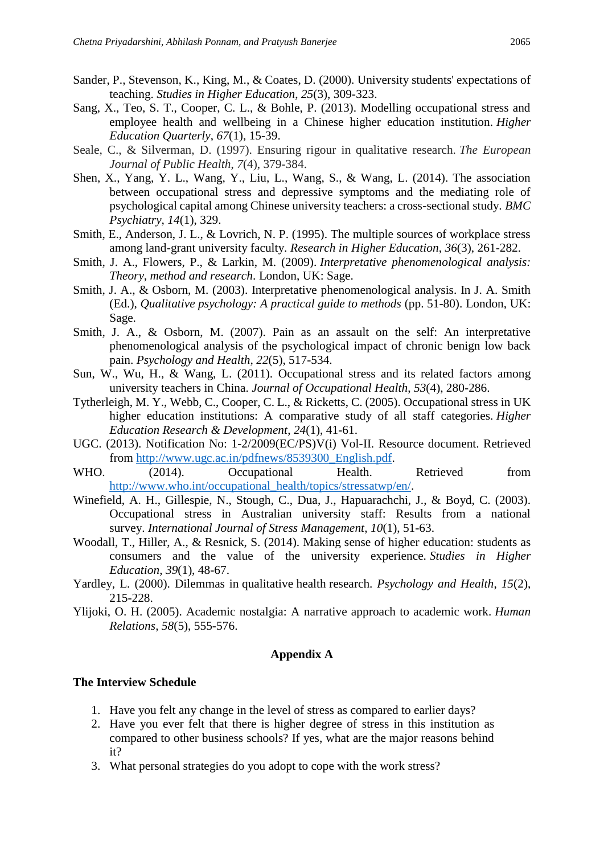- Sander, P., Stevenson, K., King, M., & Coates, D. (2000). University students' expectations of teaching. *Studies in Higher Education*, *25*(3), 309-323.
- Sang, X., Teo, S. T., Cooper, C. L., & Bohle, P. (2013). Modelling occupational stress and employee health and wellbeing in a Chinese higher education institution. *Higher Education Quarterly*, *67*(1), 15-39.
- Seale, C., & Silverman, D. (1997). Ensuring rigour in qualitative research. *The European Journal of Public Health*, *7*(4), 379-384.
- Shen, X., Yang, Y. L., Wang, Y., Liu, L., Wang, S., & Wang, L. (2014). The association between occupational stress and depressive symptoms and the mediating role of psychological capital among Chinese university teachers: a cross-sectional study. *BMC Psychiatry*, *14*(1), 329.
- Smith, E., Anderson, J. L., & Lovrich, N. P. (1995). The multiple sources of workplace stress among land-grant university faculty. *Research in Higher Education*, *36*(3), 261-282.
- Smith, J. A., Flowers, P., & Larkin, M. (2009). *Interpretative phenomenological analysis: Theory, method and research*. London, UK: Sage.
- Smith, J. A., & Osborn, M. (2003). Interpretative phenomenological analysis. In J. A. Smith (Ed.), *Qualitative psychology: A practical guide to methods* (pp. 51-80). London, UK: Sage.
- Smith, J. A., & Osborn, M. (2007). Pain as an assault on the self: An interpretative phenomenological analysis of the psychological impact of chronic benign low back pain. *Psychology and Health*, *22*(5), 517-534.
- Sun, W., Wu, H., & Wang, L. (2011). Occupational stress and its related factors among university teachers in China. *Journal of Occupational Health*, *53*(4), 280-286.
- Tytherleigh, M. Y., Webb, C., Cooper, C. L., & Ricketts, C. (2005). Occupational stress in UK higher education institutions: A comparative study of all staff categories. *Higher Education Research & Development*, *24*(1), 41-61.
- UGC. (2013). Notification No: 1-2/2009(EC/PS)V(i) Vol-II. Resource document. Retrieved from [http://www.ugc.ac.in/pdfnews/8539300\\_English.pdf.](http://www.ugc.ac.in/pdfnews/8539300_English.pdf)
- WHO. (2014). Occupational Health. Retrieved from [http://www.who.int/occupational\\_health/topics/stressatwp/en/.](http://www.who.int/occupational_health/topics/stressatwp/en/)
- Winefield, A. H., Gillespie, N., Stough, C., Dua, J., Hapuarachchi, J., & Boyd, C. (2003). Occupational stress in Australian university staff: Results from a national survey. *International Journal of Stress Management*, *10*(1), 51-63.
- Woodall, T., Hiller, A., & Resnick, S. (2014). Making sense of higher education: students as consumers and the value of the university experience. *Studies in Higher Education*, *39*(1), 48-67.
- Yardley, L. (2000). Dilemmas in qualitative health research. *Psychology and Health*, *15*(2), 215-228.
- Ylijoki, O. H. (2005). Academic nostalgia: A narrative approach to academic work. *Human Relations*, *58*(5), 555-576.

## **Appendix A**

# **The Interview Schedule**

- 1. Have you felt any change in the level of stress as compared to earlier days?
- 2. Have you ever felt that there is higher degree of stress in this institution as compared to other business schools? If yes, what are the major reasons behind it?
- 3. What personal strategies do you adopt to cope with the work stress?